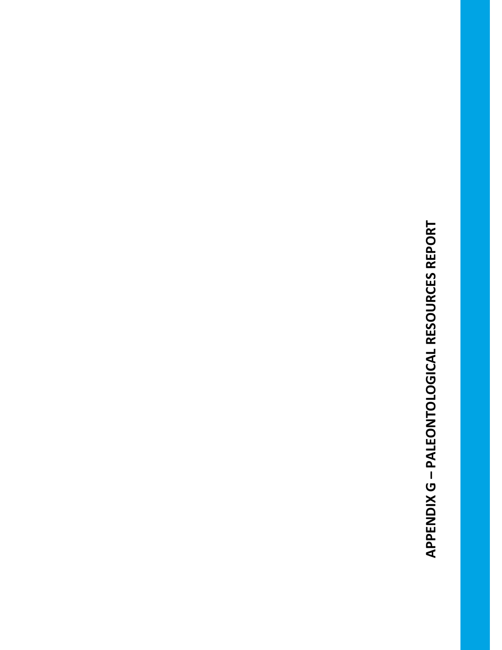APPENDIX G - PALEONTOLOGICAL RESOURCES REPORT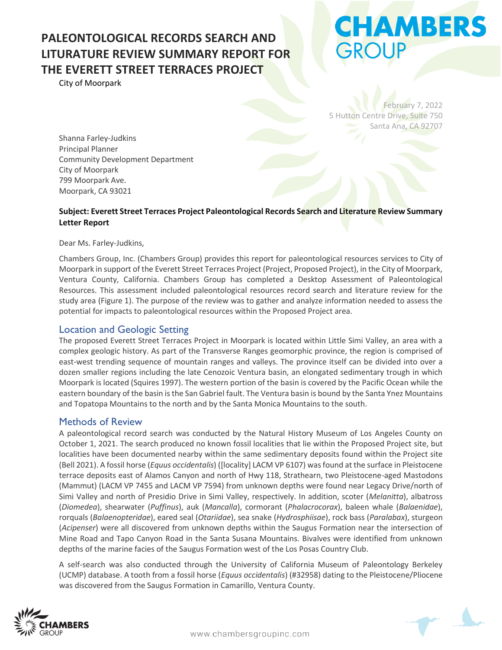City of Moorpark

# **CHAMBERS ROUP**

February 7, 2022 5 Hutton Centre Drive, Suite 750 Santa Ana, CA 92707

Shanna Farley-Judkins Principal Planner Community Development Department City of Moorpark 799 Moorpark Ave. Moorpark, CA 93021

#### **Subject: Everett Street Terraces Project Paleontological Records Search and Literature Review Summary Letter Report**

Dear Ms. Farley-Judkins,

Chambers Group, Inc. (Chambers Group) provides this report for paleontological resources services to City of Moorpark in support of the Everett Street Terraces Project (Project, Proposed Project), in the City of Moorpark, Ventura County, California. Chambers Group has completed a Desktop Assessment of Paleontological Resources. This assessment included paleontological resources record search and literature review for the study area (Figure 1). The purpose of the review was to gather and analyze information needed to assess the potential for impacts to paleontological resources within the Proposed Project area.

#### Location and Geologic Setting

The proposed Everett Street Terraces Project in Moorpark is located within Little Simi Valley, an area with a complex geologic history. As part of the Transverse Ranges geomorphic province, the region is comprised of east-west trending sequence of mountain ranges and valleys. The province itself can be divided into over a dozen smaller regions including the late Cenozoic Ventura basin, an elongated sedimentary trough in which Moorpark is located (Squires 1997). The western portion of the basin is covered by the Pacific Ocean while the eastern boundary of the basin is the San Gabriel fault. The Ventura basin is bound by the Santa Ynez Mountains and Topatopa Mountains to the north and by the Santa Monica Mountains to the south.

#### Methods of Review

A paleontological record search was conducted by the Natural History Museum of Los Angeles County on October 1, 2021. The search produced no known fossil localities that lie within the Proposed Project site, but localities have been documented nearby within the same sedimentary deposits found within the Project site (Bell 2021). A fossil horse (*Equus occidentalis*) ([locality] LACM VP 6107) was found at the surface in Pleistocene terrace deposits east of Alamos Canyon and north of Hwy 118, Strathearn, two Pleistocene-aged Mastodons (Mammut) (LACM VP 7455 and LACM VP 7594) from unknown depths were found near Legacy Drive/north of Simi Valley and north of Presidio Drive in Simi Valley, respectively. In addition, scoter (*Melanitta*), albatross (*Diomedea*), shearwater (*Puffinus*), auk (*Mancalla*), cormorant (*Phalacrocorax*), baleen whale (*Balaenidae*), rorquals (*Balaenopteridae*), eared seal (*Otariidae*), sea snake (*Hydrosphiisae*), rock bass (*Paralabax*), sturgeon (*Acipenser*) were all discovered from unknown depths within the Saugus Formation near the intersection of Mine Road and Tapo Canyon Road in the Santa Susana Mountains. Bivalves were identified from unknown depths of the marine facies of the Saugus Formation west of the Los Posas Country Club.

A self-search was also conducted through the University of California Museum of Paleontology Berkeley (UCMP) database. A tooth from a fossil horse (*Equus occidentalis*) (#32958) dating to the Pleistocene/Pliocene was discovered from the Saugus Formation in Camarillo, Ventura County.



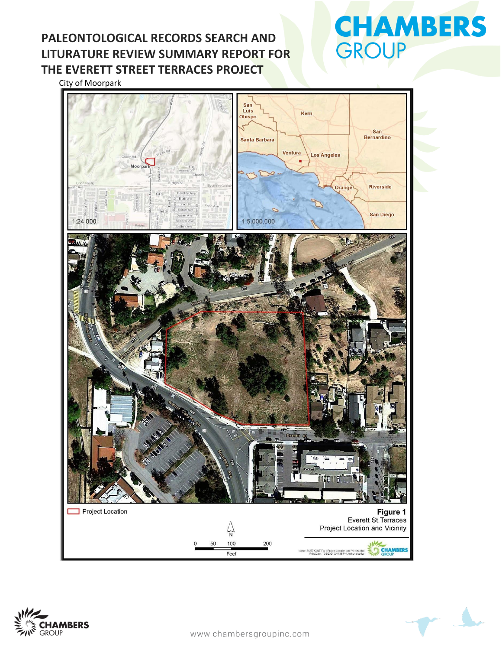# **CHAMBERS** GROUP

City of Moorpark





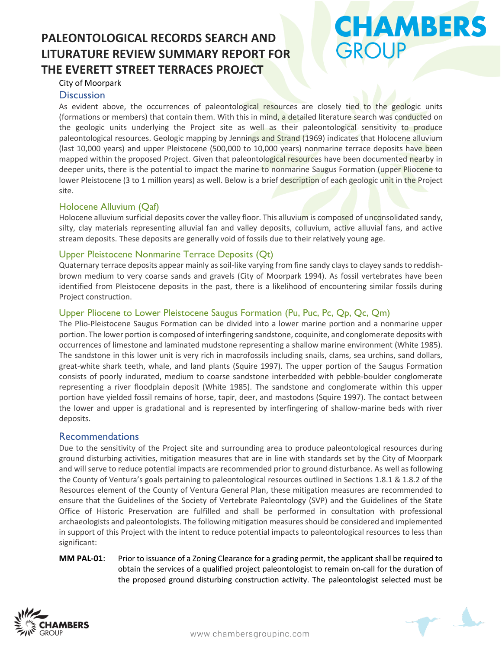# **CHAMBERS** GROUP

#### City of Moorpark

#### **Discussion**

As evident above, the occurrences of paleontological resources are closely tied to the geologic units (formations or members) that contain them. With this in mind, a detailed literature search was conducted on the geologic units underlying the Project site as well as their paleontological sensitivity to produce paleontological resources. Geologic mapping by Jennings and Strand (1969) indicates that Holocene alluvium (last 10,000 years) and upper Pleistocene (500,000 to 10,000 years) nonmarine terrace deposits have been mapped within the proposed Project. Given that paleontological resources have been documented nearby in deeper units, there is the potential to impact the marine to nonmarine Saugus Formation (upper Pliocene to lower Pleistocene (3 to 1 million years) as well. Below is a brief description of each geologic unit in the Project site.

#### Holocene Alluvium (Qaf)

Holocene alluvium surficial deposits cover the valley floor. This alluvium is composed of unconsolidated sandy, silty, clay materials representing alluvial fan and valley deposits, colluvium, active alluvial fans, and active stream deposits. These deposits are generally void of fossils due to their relatively young age.

#### Upper Pleistocene Nonmarine Terrace Deposits (Qt)

Quaternary terrace deposits appear mainly as soil-like varying from fine sandy clays to clayey sands to reddishbrown medium to very coarse sands and gravels (City of Moorpark 1994). As fossil vertebrates have been identified from Pleistocene deposits in the past, there is a likelihood of encountering similar fossils during Project construction.

#### Upper Pliocene to Lower Pleistocene Saugus Formation (Pu, Puc, Pc, Qp, Qc, Qm)

The Plio-Pleistocene Saugus Formation can be divided into a lower marine portion and a nonmarine upper portion. The lower portion is composed of interfingering sandstone, coquinite, and conglomerate deposits with occurrences of limestone and laminated mudstone representing a shallow marine environment (White 1985). The sandstone in this lower unit is very rich in macrofossils including snails, clams, sea urchins, sand dollars, great-white shark teeth, whale, and land plants (Squire 1997). The upper portion of the Saugus Formation consists of poorly indurated, medium to coarse sandstone interbedded with pebble-boulder conglomerate representing a river floodplain deposit (White 1985). The sandstone and conglomerate within this upper portion have yielded fossil remains of horse, tapir, deer, and mastodons (Squire 1997). The contact between the lower and upper is gradational and is represented by interfingering of shallow-marine beds with river deposits.

#### Recommendations

Due to the sensitivity of the Project site and surrounding area to produce paleontological resources during ground disturbing activities, mitigation measures that are in line with standards set by the City of Moorpark and will serve to reduce potential impacts are recommended prior to ground disturbance. As well as following the County of Ventura's goals pertaining to paleontological resources outlined in Sections 1.8.1 & 1.8.2 of the Resources element of the County of Ventura General Plan, these mitigation measures are recommended to ensure that the Guidelines of the Society of Vertebrate Paleontology (SVP) and the Guidelines of the State Office of Historic Preservation are fulfilled and shall be performed in consultation with professional archaeologists and paleontologists. The following mitigation measures should be considered and implemented in support of this Project with the intent to reduce potential impacts to paleontological resources to less than significant:

**MM PAL-01**: Prior to issuance of a Zoning Clearance for a grading permit, the applicant shall be required to obtain the services of a qualified project paleontologist to remain on-call for the duration of the proposed ground disturbing construction activity. The paleontologist selected must be



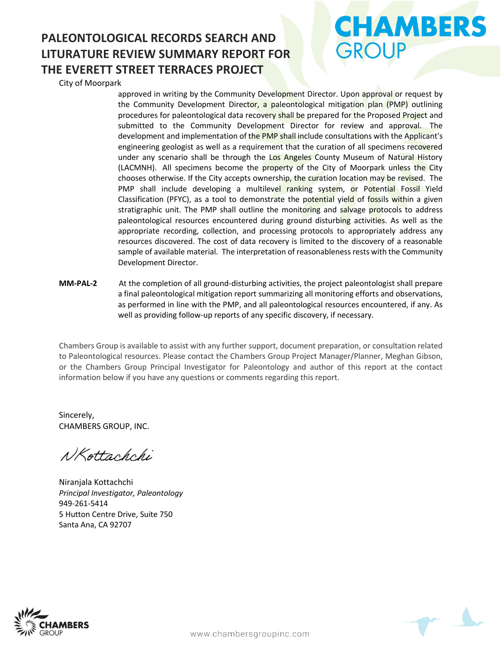City of Moorpark

approved in writing by the Community Development Director. Upon approval or request by the Community Development Director, a paleontological mitigation plan (PMP) outlining procedures for paleontological data recovery shall be prepared for the Proposed Project and submitted to the Community Development Director for review and approval. The development and implementation of the PMP shall include consultations with the Applicant's engineering geologist as well as a requirement that the curation of all specimens recovered under any scenario shall be through the Los Angeles County Museum of Natural History (LACMNH). All specimens become the property of the City of Moorpark unless the City chooses otherwise. If the City accepts ownership, the curation location may be revised. The PMP shall include developing a multilevel ranking system, or Potential Fossil Yield Classification (PFYC), as a tool to demonstrate the potential yield of fossils within a given stratigraphic unit. The PMP shall outline the monitoring and salvage protocols to address paleontological resources encountered during ground disturbing activities. As well as the appropriate recording, collection, and processing protocols to appropriately address any resources discovered. The cost of data recovery is limited to the discovery of a reasonable sample of available material. The interpretation of reasonableness rests with the Community Development Director.

**MM-PAL-2** At the completion of all ground-disturbing activities, the project paleontologist shall prepare a final paleontological mitigation report summarizing all monitoring efforts and observations, as performed in line with the PMP, and all paleontological resources encountered, if any. As well as providing follow-up reports of any specific discovery, if necessary.

Chambers Group is available to assist with any further support, document preparation, or consultation related to Paleontological resources. Please contact the Chambers Group Project Manager/Planner, Meghan Gibson, or the Chambers Group Principal Investigator for Paleontology and author of this report at the contact information below if you have any questions or comments regarding this report.

Sincerely, CHAMBERS GROUP, INC.

NKottachchi

Niranjala Kottachchi *Principal Investigator, Paleontology*  949-261-5414 5 Hutton Centre Drive, Suite 750 Santa Ana, CA 92707





**CHAMBERS** 

GROUP